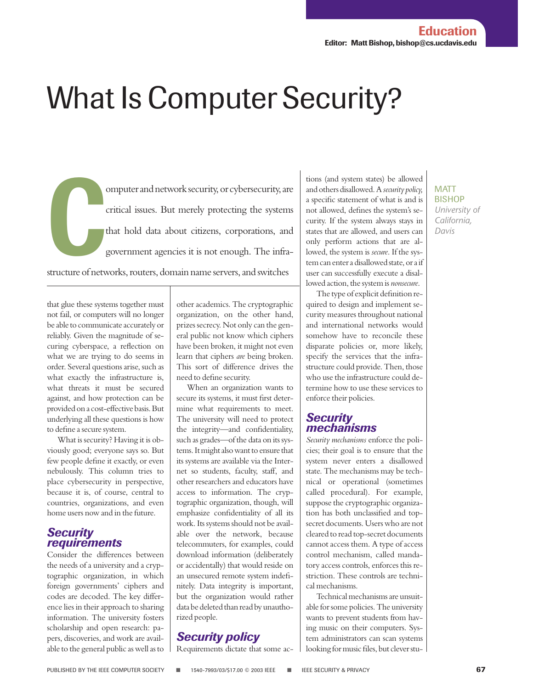# What Is Computer Security?

Exercise of network scurity, or cybersecurity, are<br>
critical issues. But merely protecting the systems<br>
that hold data about citizens, corporations, and<br>
government agencies it is not enough. The infra-<br>
tructure of networ omputer and network security, or cybersecurity, are critical issues. But merely protecting the systems that hold data about citizens, corporations, and government agencies it is not enough. The infrastructure of networks, routers, domain name servers, and switches

that glue these systems together must not fail, or computers will no longer be able to communicate accurately or reliably. Given the magnitude of securing cyberspace, a reflection on what we are trying to do seems in order. Several questions arise, such as what exactly the infrastructure is, what threats it must be secured against, and how protection can be provided on a cost-effective basis. But underlying all these questions is how to define a secure system.

What is security? Having it is obviously good; everyone says so. But few people define it exactly, or even nebulously. This column tries to place cybersecurity in perspective, because it is, of course, central to countries, organizations, and even home users now and in the future.

## *Security requirements*

Consider the differences between the needs of a university and a cryptographic organization, in which foreign governments' ciphers and codes are decoded. The key difference lies in their approach to sharing information. The university fosters scholarship and open research: papers, discoveries, and work are available to the general public as well as to

other academics. The cryptographic organization, on the other hand, prizes secrecy. Not only can the general public not know which ciphers have been broken, it might not even learn that ciphers *are* being broken. This sort of difference drives the need to define security.

When an organization wants to secure its systems, it must first determine what requirements to meet. The university will need to protect the integrity—and confidentiality, such as grades—of the data on its systems. It might also want to ensure that its systems are available via the Internet so students, faculty, staff, and other researchers and educators have access to information. The cryptographic organization, though, will emphasize confidentiality of all its work. Its systems should not be available over the network, because telecommuters, for examples, could download information (deliberately or accidentally) that would reside on an unsecured remote system indefinitely. Data integrity is important, but the organization would rather data be deleted than read by unauthorized people.

## *Security policy*

Requirements dictate that some ac-

tions (and system states) be allowed and others disallowed. A *security policy,* a specific statement of what is and is not allowed, defines the system's security. If the system always stays in states that are allowed, and users can only perform actions that are allowed, the system is *secure*. If the system can enter a disallowed state, or a if user can successfully execute a disallowed action, the system is *nonsecure*.

The type of explicit definition required to design and implement security measures throughout national and international networks would somehow have to reconcile these disparate policies or, more likely, specify the services that the infrastructure could provide. Then, those who use the infrastructure could determine how to use these services to enforce their policies.

#### *Security mechanisms*

*Security mechanisms* enforce the policies; their goal is to ensure that the system never enters a disallowed state. The mechanisms may be technical or operational (sometimes called procedural). For example, suppose the cryptographic organization has both unclassified and topsecret documents. Users who are not cleared to read top-secret documents cannot access them. A type of access control mechanism, called mandatory access controls, enforces this restriction. These controls are technical mechanisms.

Technical mechanisms are unsuitable for some policies. The university wants to prevent students from having music on their computers. System administrators can scan systems looking for music files, but clever stu-

## **MATT BISHOP** *University of*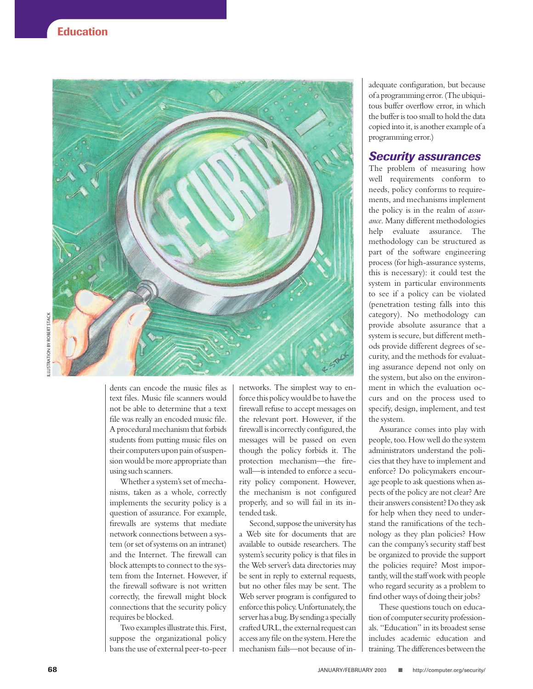

dents can encode the music files as text files. Music file scanners would not be able to determine that a text file was really an encoded music file. A procedural mechanism that forbids students from putting music files on their computers upon pain of suspension would be more appropriate than using such scanners.

Whether a system's set of mechanisms, taken as a whole, correctly implements the security policy is a question of assurance. For example, firewalls are systems that mediate network connections between a system (or set of systems on an intranet) and the Internet. The firewall can block attempts to connect to the system from the Internet. However, if the firewall software is not written correctly, the firewall might block connections that the security policy requires be blocked.

Two examples illustrate this. First, suppose the organizational policy bans the use of external peer-to-peer networks. The simplest way to enforce this policy would be to have the firewall refuse to accept messages on the relevant port. However, if the firewall is incorrectly configured, the messages will be passed on even though the policy forbids it. The protection mechanism—the firewall—is intended to enforce a security policy component. However, the mechanism is not configured properly, and so will fail in its intended task.

Second, suppose the university has a Web site for documents that are available to outside researchers. The system's security policy is that files in the Web server's data directories may be sent in reply to external requests, but no other files may be sent. The Web server program is configured to enforce this policy. Unfortunately, the server has a bug. By sending a specially crafted URL, the external request can access any file on the system. Here the mechanism fails—not because of inadequate configuration, but because of a programming error. (The ubiquitous buffer overflow error, in which the buffer is too small to hold the data copied into it, is another example of a programming error.)

## *Security assurances*

The problem of measuring how well requirements conform to needs, policy conforms to requirements, and mechanisms implement the policy is in the realm of *assurance*. Many different methodologies help evaluate assurance. The methodology can be structured as part of the software engineering process (for high-assurance systems, this is necessary): it could test the system in particular environments to see if a policy can be violated (penetration testing falls into this category). No methodology can provide absolute assurance that a system is secure, but different methods provide different degrees of security, and the methods for evaluating assurance depend not only on the system, but also on the environment in which the evaluation occurs and on the process used to specify, design, implement, and test the system.

Assurance comes into play with people, too. How well do the system administrators understand the policies that they have to implement and enforce? Do policymakers encourage people to ask questions when aspects of the policy are not clear? Are their answers consistent? Do they ask for help when they need to understand the ramifications of the technology as they plan policies? How can the company's security staff best be organized to provide the support the policies require? Most importantly, will the staff work with people who regard security as a problem to find other ways of doing their jobs? **Example 18**  $\mu$  1993 and the methodology can be a summarized by the system as security and the methodology can be a summary and the methodology can be a summary and the system as the system as the system as the system a

These questions touch on education of computer security professionals. "Education" in its broadest sense includes academic education and training. The differences between the